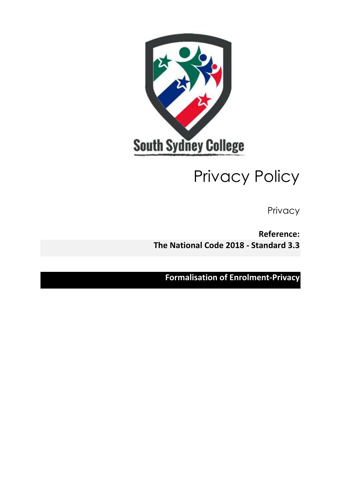

# Privacy Policy

Privacy

**Reference: The National Code 2018 - Standard 3.3**

**Formalisation of Enrolment-Privacy**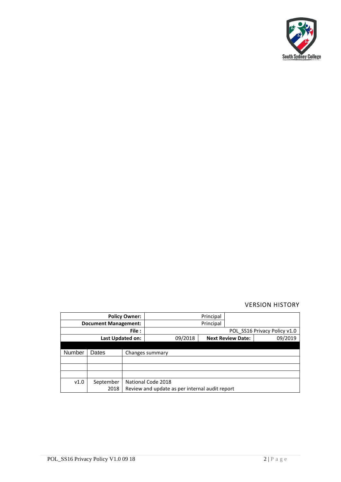

# VERSION HISTORY

| <b>Policy Owner:</b>        |           |                                                |                              | Principal |                          |         |
|-----------------------------|-----------|------------------------------------------------|------------------------------|-----------|--------------------------|---------|
| <b>Document Management:</b> |           |                                                |                              | Principal |                          |         |
| File:                       |           |                                                | POL SS16 Privacy Policy v1.0 |           |                          |         |
| Last Updated on:            |           |                                                | 09/2018                      |           | <b>Next Review Date:</b> | 09/2019 |
|                             |           |                                                |                              |           |                          |         |
| Number                      | Dates     |                                                | Changes summary              |           |                          |         |
|                             |           |                                                |                              |           |                          |         |
|                             |           |                                                |                              |           |                          |         |
|                             |           |                                                |                              |           |                          |         |
| v1.0                        | September |                                                | National Code 2018           |           |                          |         |
|                             | 2018      | Review and update as per internal audit report |                              |           |                          |         |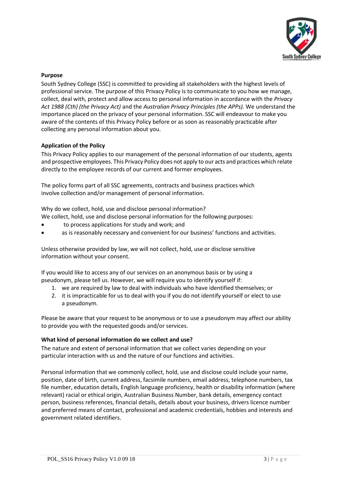

## **Purpose**

South Sydney College (SSC) is committed to providing all stakeholders with the highest levels of professional service. The purpose of this Privacy Policy is to communicate to you how we manage, collect, deal with, protect and allow access to personal information in accordance with the *Privacy Act 1988 (Cth) (the Privacy Act)* and the *Australian Privacy Principles (the APPs).* We understand the importance placed on the privacy of your personal information. SSC will endeavour to make you aware of the contents of this Privacy Policy before or as soon as reasonably practicable after collecting any personal information about you.

## **Application of the Policy**

This Privacy Policy applies to our management of the personal information of our students, agents and prospective employees. This Privacy Policy does not apply to our acts and practices which relate directly to the employee records of our current and former employees.

The policy forms part of all SSC agreements, contracts and business practices which involve collection and/or management of personal information.

Why do we collect, hold, use and disclose personal information?

We collect, hold, use and disclose personal information for the following purposes:

- to process applications for study and work; and
- as is reasonably necessary and convenient for our business' functions and activities.

Unless otherwise provided by law, we will not collect, hold, use or disclose sensitive information without your consent.

If you would like to access any of our services on an anonymous basis or by using a pseudonym, please tell us. However, we will require you to identify yourself if:

- 1. we are required by law to deal with individuals who have identified themselves; or
- 2. it is impracticable for us to deal with you if you do not identify yourself or elect to use a pseudonym.

Please be aware that your request to be anonymous or to use a pseudonym may affect our ability to provide you with the requested goods and/or services.

#### **What kind of personal information do we collect and use?**

The nature and extent of personal information that we collect varies depending on your particular interaction with us and the nature of our functions and activities.

Personal information that we commonly collect, hold, use and disclose could include your name, position, date of birth, current address, facsimile numbers, email address, telephone numbers, tax file number, education details, English language proficiency, health or disability information (where relevant) racial or ethical origin, Australian Business Number, bank details, emergency contact person, business references, financial details, details about your business, drivers licence number and preferred means of contact, professional and academic credentials, hobbies and interests and government related identifiers.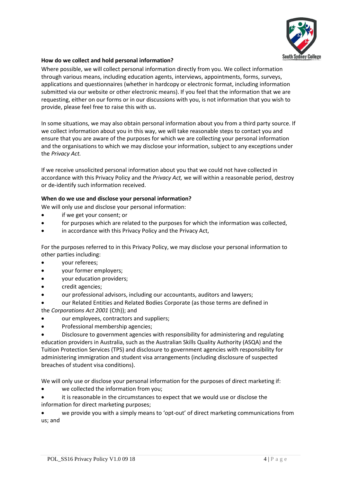

# **How do we collect and hold personal information?**

Where possible, we will collect personal information directly from you. We collect information through various means, including education agents, interviews, appointments, forms, surveys, applications and questionnaires (whether in hardcopy or electronic format, including information submitted via our website or other electronic means). If you feel that the information that we are requesting, either on our forms or in our discussions with you, is not information that you wish to provide, please feel free to raise this with us.

In some situations, we may also obtain personal information about you from a third party source. If we collect information about you in this way, we will take reasonable steps to contact you and ensure that you are aware of the purposes for which we are collecting your personal information and the organisations to which we may disclose your information, subject to any exceptions under the *Privacy Act.*

If we receive unsolicited personal information about you that we could not have collected in accordance with this Privacy Policy and the *Privacy Act,* we will within a reasonable period, destroy or de-identify such information received.

#### **When do we use and disclose your personal information?**

We will only use and disclose your personal information:

- if we get your consent; or
- for purposes which are related to the purposes for which the information was collected,
- in accordance with this Privacy Policy and the Privacy Act,

For the purposes referred to in this Privacy Policy, we may disclose your personal information to other parties including:

- your referees;
- your former employers;
- your education providers;
- credit agencies;
- our professional advisors, including our accountants, auditors and lawyers;
- our Related Entities and Related Bodies Corporate (as those terms are defined in
- the *Corporations Act 2001* (Cth)); and
- our employees, contractors and suppliers;
- Professional membership agencies;

• Disclosure to government agencies with responsibility for administering and regulating education providers in Australia, such as the Australian Skills Quality Authority (ASQA) and the Tuition Protection Services (TPS) and disclosure to government agencies with responsibility for administering immigration and student visa arrangements (including disclosure of suspected breaches of student visa conditions).

We will only use or disclose your personal information for the purposes of direct marketing if:

- we collected the information from you;
- it is reasonable in the circumstances to expect that we would use or disclose the information for direct marketing purposes;

• we provide you with a simply means to 'opt-out' of direct marketing communications from us; and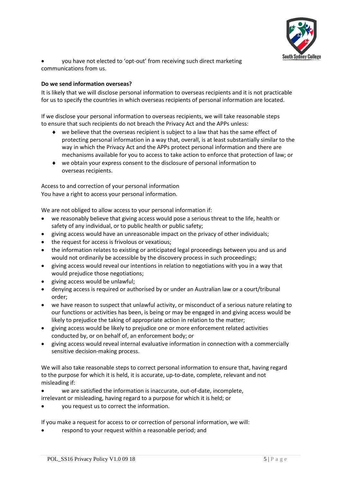

• you have not elected to 'opt-out' from receiving such direct marketing communications from us.

# **Do we send information overseas?**

It is likely that we will disclose personal information to overseas recipients and it is not practicable for us to specify the countries in which overseas recipients of personal information are located.

If we disclose your personal information to overseas recipients, we will take reasonable steps to ensure that such recipients do not breach the Privacy Act and the APPs unless:

- we believe that the overseas recipient is subject to a law that has the same effect of protecting personal information in a way that, overall, is at least substantially similar to the way in which the Privacy Act and the APPs protect personal information and there are mechanisms available for you to access to take action to enforce that protection of law; or
- we obtain your express consent to the disclosure of personal information to overseas recipients.

Access to and correction of your personal information You have a right to access your personal information.

We are not obliged to allow access to your personal information if:

- we reasonably believe that giving access would pose a serious threat to the life, health or safety of any individual, or to public health or public safety;
- giving access would have an unreasonable impact on the privacy of other individuals;
- the request for access is frivolous or vexatious;
- the information relates to existing or anticipated legal proceedings between you and us and would not ordinarily be accessible by the discovery process in such proceedings;
- giving access would reveal our intentions in relation to negotiations with you in a way that would prejudice those negotiations;
- giving access would be unlawful;
- denying access is required or authorised by or under an Australian law or a court/tribunal order;
- we have reason to suspect that unlawful activity, or misconduct of a serious nature relating to our functions or activities has been, is being or may be engaged in and giving access would be likely to prejudice the taking of appropriate action in relation to the matter;
- giving access would be likely to prejudice one or more enforcement related activities conducted by, or on behalf of, an enforcement body; or
- giving access would reveal internal evaluative information in connection with a commercially sensitive decision-making process.

We will also take reasonable steps to correct personal information to ensure that, having regard to the purpose for which it is held, it is accurate, up-to-date, complete, relevant and not misleading if:

- we are satisfied the information is inaccurate, out-of-date, incomplete,
- irrelevant or misleading, having regard to a purpose for which it is held; or
- you request us to correct the information.

If you make a request for access to or correction of personal information, we will:

• respond to your request within a reasonable period; and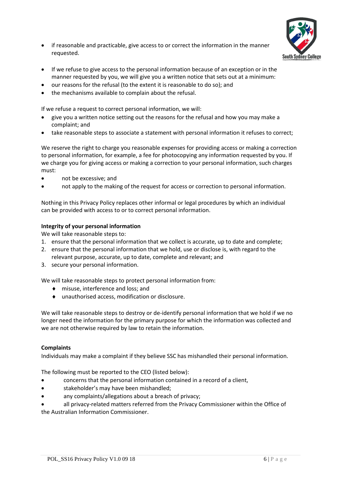

- if reasonable and practicable, give access to or correct the information in the manner requested.
- If we refuse to give access to the personal information because of an exception or in the manner requested by you, we will give you a written notice that sets out at a minimum:
- our reasons for the refusal (to the extent it is reasonable to do so); and
- the mechanisms available to complain about the refusal.

If we refuse a request to correct personal information, we will:

- give you a written notice setting out the reasons for the refusal and how you may make a complaint; and
- take reasonable steps to associate a statement with personal information it refuses to correct;

We reserve the right to charge you reasonable expenses for providing access or making a correction to personal information, for example, a fee for photocopying any information requested by you. If we charge you for giving access or making a correction to your personal information, such charges must:

- not be excessive; and
- not apply to the making of the request for access or correction to personal information.

Nothing in this Privacy Policy replaces other informal or legal procedures by which an individual can be provided with access to or to correct personal information.

# **Integrity of your personal information**

We will take reasonable steps to:

- 1. ensure that the personal information that we collect is accurate, up to date and complete;
- 2. ensure that the personal information that we hold, use or disclose is, with regard to the relevant purpose, accurate, up to date, complete and relevant; and
- 3. secure your personal information.

We will take reasonable steps to protect personal information from:

- ◆ misuse, interference and loss; and
- unauthorised access, modification or disclosure.

We will take reasonable steps to destroy or de-identify personal information that we hold if we no longer need the information for the primary purpose for which the information was collected and we are not otherwise required by law to retain the information.

# **Complaints**

Individuals may make a complaint if they believe SSC has mishandled their personal information.

The following must be reported to the CEO (listed below):

- concerns that the personal information contained in a record of a client,
- stakeholder's may have been mishandled;
- any complaints/allegations about a breach of privacy;

• all privacy-related matters referred from the Privacy Commissioner within the Office of the Australian Information Commissioner.